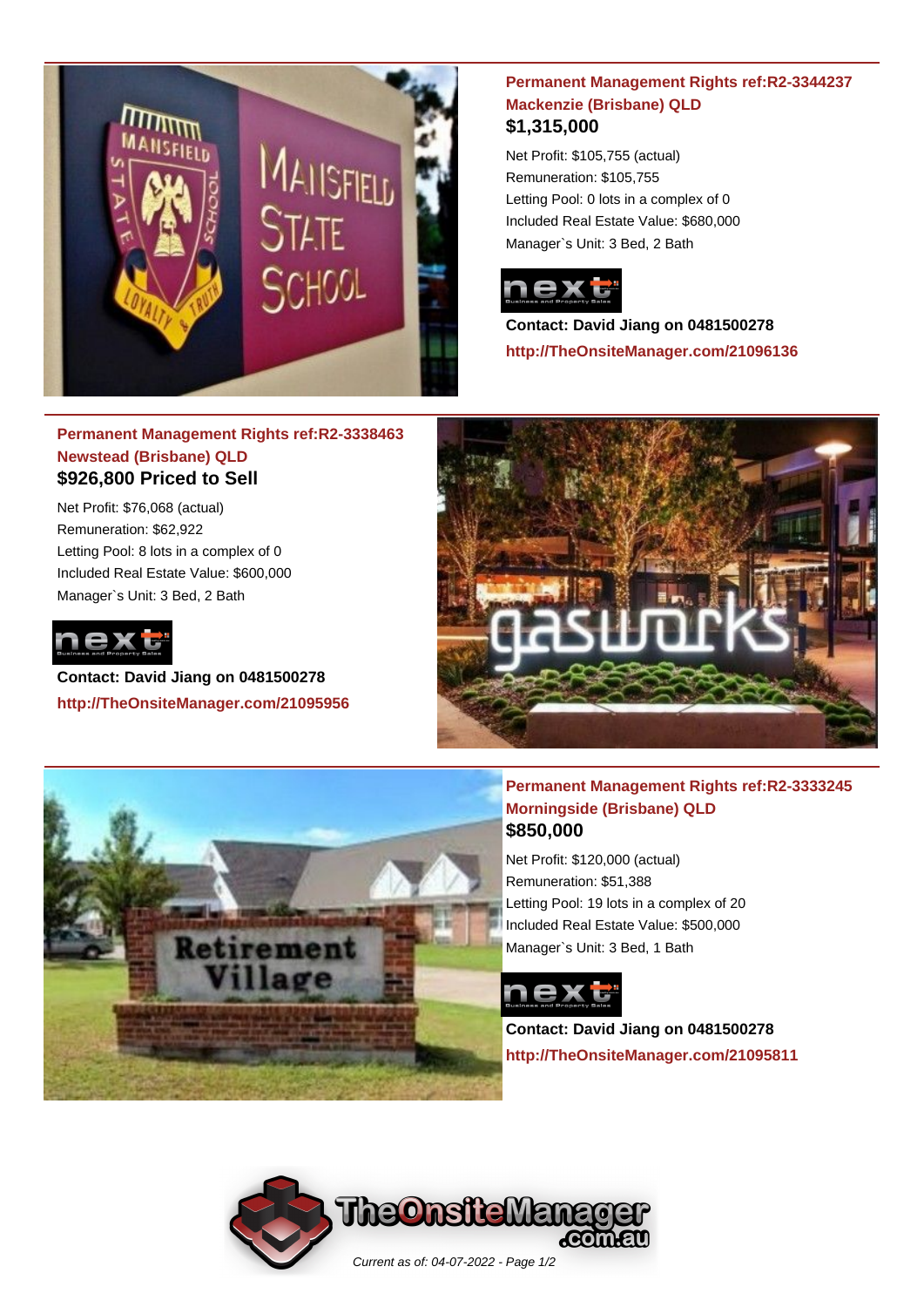

### **Permanent Management Rights ref:R2-3344237 Mackenzie (Brisbane) QLD \$1,315,000**

Net Profit: \$105,755 (actual) Remuneration: \$105,755 Letting Pool: 0 lots in a complex of 0 Included Real Estate Value: \$680,000 Manager`s Unit: 3 Bed, 2 Bath



**Contact: David Jiang on 0481500278 http://TheOnsiteManager.com/21096136**

## **Permanent Management Rights ref:R2-3338463 Newstead (Brisbane) QLD \$926,800 Priced to Sell**

Net Profit: \$76,068 (actual) Remuneration: \$62,922 Letting Pool: 8 lots in a complex of 0 Included Real Estate Value: \$600,000 Manager`s Unit: 3 Bed, 2 Bath



**Contact: David Jiang on 0481500278 http://TheOnsiteManager.com/21095956**

ement



## **Permanent Management Rights ref:R2-3333245 Morningside (Brisbane) QLD \$850,000**

Net Profit: \$120,000 (actual) Remuneration: \$51,388 Letting Pool: 19 lots in a complex of 20 Included Real Estate Value: \$500,000 Manager`s Unit: 3 Bed, 1 Bath



**Contact: David Jiang on 0481500278 http://TheOnsiteManager.com/21095811**